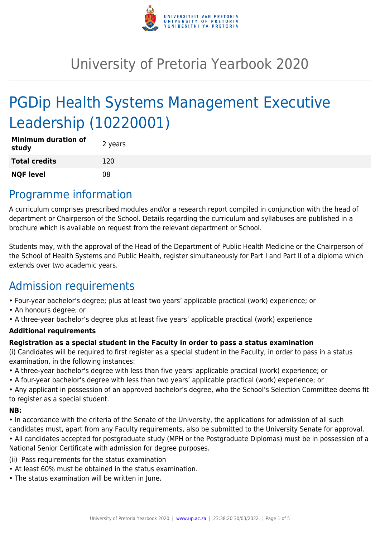

# University of Pretoria Yearbook 2020

# PGDip Health Systems Management Executive Leadership (10220001)

| <b>Minimum duration of</b><br>study | 2 years |
|-------------------------------------|---------|
| <b>Total credits</b>                | 120     |
| <b>NQF level</b>                    | በጸ      |

### Programme information

A curriculum comprises prescribed modules and/or a research report compiled in conjunction with the head of department or Chairperson of the School. Details regarding the curriculum and syllabuses are published in a brochure which is available on request from the relevant department or School.

Students may, with the approval of the Head of the Department of Public Health Medicine or the Chairperson of the School of Health Systems and Public Health, register simultaneously for Part I and Part II of a diploma which extends over two academic years.

## Admission requirements

- Four-year bachelor's degree; plus at least two years' applicable practical (work) experience; or
- An honours degree; or
- A three-year bachelor's degree plus at least five years' applicable practical (work) experience

### **Additional requirements**

### **Registration as a special student in the Faculty in order to pass a status examination**

(i) Candidates will be required to first register as a special student in the Faculty, in order to pass in a status examination, in the following instances:

- A three-year bachelor's degree with less than five years' applicable practical (work) experience; or
- A four-year bachelor's degree with less than two years' applicable practical (work) experience; or

• Any applicant in possession of an approved bachelor's degree, who the School's Selection Committee deems fit to register as a special student.

#### **NB:**

• In accordance with the criteria of the Senate of the University, the applications for admission of all such candidates must, apart from any Faculty requirements, also be submitted to the University Senate for approval.

• All candidates accepted for postgraduate study (MPH or the Postgraduate Diplomas) must be in possession of a National Senior Certificate with admission for degree purposes.

(ii) Pass requirements for the status examination

- At least 60% must be obtained in the status examination.
- The status examination will be written in June.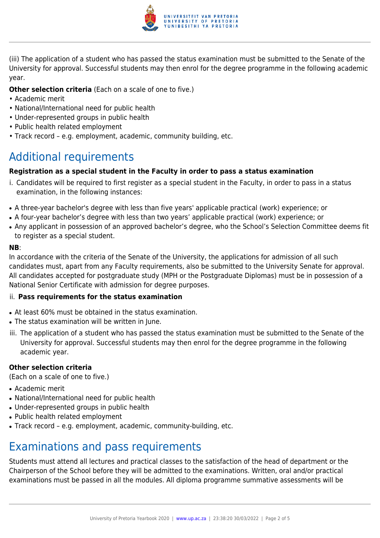

(iii) The application of a student who has passed the status examination must be submitted to the Senate of the University for approval. Successful students may then enrol for the degree programme in the following academic year.

#### **Other selection criteria** (Each on a scale of one to five.)

- Academic merit
- National/International need for public health
- Under-represented groups in public health
- Public health related employment
- Track record e.g. employment, academic, community building, etc.

# Additional requirements

#### **Registration as a special student in the Faculty in order to pass a status examination**

- i. Candidates will be required to first register as a special student in the Faculty, in order to pass in a status examination, in the following instances:
- A three-year bachelor's degree with less than five years' applicable practical (work) experience; or
- A four-year bachelor's degree with less than two years' applicable practical (work) experience; or
- Any applicant in possession of an approved bachelor's degree, who the School's Selection Committee deems fit to register as a special student.

#### **NB**:

In accordance with the criteria of the Senate of the University, the applications for admission of all such candidates must, apart from any Faculty requirements, also be submitted to the University Senate for approval. All candidates accepted for postgraduate study (MPH or the Postgraduate Diplomas) must be in possession of a National Senior Certificate with admission for degree purposes.

#### ii. **Pass requirements for the status examination**

- At least 60% must be obtained in the status examination.
- The status examination will be written in June.
- iii. The application of a student who has passed the status examination must be submitted to the Senate of the University for approval. Successful students may then enrol for the degree programme in the following academic year.

#### **Other selection criteria**

(Each on a scale of one to five.)

- Academic merit
- National/International need for public health
- Under-represented groups in public health
- Public health related employment
- Track record e.g. employment, academic, community-building, etc.

## Examinations and pass requirements

Students must attend all lectures and practical classes to the satisfaction of the head of department or the Chairperson of the School before they will be admitted to the examinations. Written, oral and/or practical examinations must be passed in all the modules. All diploma programme summative assessments will be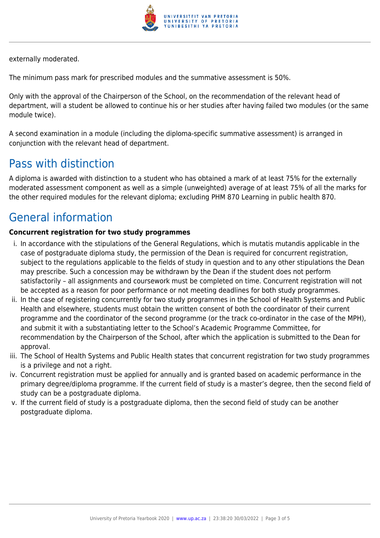

externally moderated.

The minimum pass mark for prescribed modules and the summative assessment is 50%.

Only with the approval of the Chairperson of the School, on the recommendation of the relevant head of department, will a student be allowed to continue his or her studies after having failed two modules (or the same module twice).

A second examination in a module (including the diploma-specific summative assessment) is arranged in conjunction with the relevant head of department.

## Pass with distinction

A diploma is awarded with distinction to a student who has obtained a mark of at least 75% for the externally moderated assessment component as well as a simple (unweighted) average of at least 75% of all the marks for the other required modules for the relevant diploma; excluding PHM 870 Learning in public health 870.

# General information

### **Concurrent registration for two study programmes**

- i. In accordance with the stipulations of the General Regulations, which is mutatis mutandis applicable in the case of postgraduate diploma study, the permission of the Dean is required for concurrent registration, subject to the regulations applicable to the fields of study in question and to any other stipulations the Dean may prescribe. Such a concession may be withdrawn by the Dean if the student does not perform satisfactorily – all assignments and coursework must be completed on time. Concurrent registration will not be accepted as a reason for poor performance or not meeting deadlines for both study programmes.
- ii. In the case of registering concurrently for two study programmes in the School of Health Systems and Public Health and elsewhere, students must obtain the written consent of both the coordinator of their current programme and the coordinator of the second programme (or the track co-ordinator in the case of the MPH), and submit it with a substantiating letter to the School's Academic Programme Committee, for recommendation by the Chairperson of the School, after which the application is submitted to the Dean for approval.
- iii. The School of Health Systems and Public Health states that concurrent registration for two study programmes is a privilege and not a right.
- iv. Concurrent registration must be applied for annually and is granted based on academic performance in the primary degree/diploma programme. If the current field of study is a master's degree, then the second field of study can be a postgraduate diploma.
- v. If the current field of study is a postgraduate diploma, then the second field of study can be another postgraduate diploma.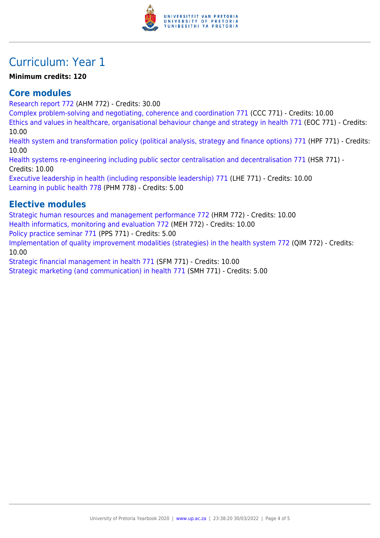

## Curriculum: Year 1

### **Minimum credits: 120**

### **Core modules**

[Research report 772](https://www.up.ac.za/yearbooks/2020/modules/view/AHM 772) (AHM 772) - Credits: 30.00

[Complex problem-solving and negotiating, coherence and coordination 771](https://www.up.ac.za/yearbooks/2020/modules/view/CCC 771) (CCC 771) - Credits: 10.00

[Ethics and values in healthcare, organisational behaviour change and strategy in health 771](https://www.up.ac.za/yearbooks/2020/modules/view/EOC 771) (EOC 771) - Credits: 10.00

[Health system and transformation policy \(political analysis, strategy and finance options\) 771](https://www.up.ac.za/yearbooks/2020/modules/view/HPF 771) (HPF 771) - Credits: 10.00

[Health systems re-engineering including public sector centralisation and decentralisation 771](https://www.up.ac.za/yearbooks/2020/modules/view/HSR 771) (HSR 771) - Credits: 10.00

[Executive leadership in health \(including responsible leadership\) 771](https://www.up.ac.za/yearbooks/2020/modules/view/LHE 771) (LHE 771) - Credits: 10.00 [Learning in public health 778](https://www.up.ac.za/yearbooks/2020/modules/view/PHM 778) (PHM 778) - Credits: 5.00

### **Elective modules**

[Strategic human resources and management performance 772](https://www.up.ac.za/yearbooks/2020/modules/view/HRM 772) (HRM 772) - Credits: 10.00 [Health informatics, monitoring and evaluation 772](https://www.up.ac.za/yearbooks/2020/modules/view/MEH 772) (MEH 772) - Credits: 10.00 [Policy practice seminar 771](https://www.up.ac.za/yearbooks/2020/modules/view/PPS 771) (PPS 771) - Credits: 5.00 [Implementation of quality improvement modalities \(strategies\) in the health system 772](https://www.up.ac.za/yearbooks/2020/modules/view/QIM 772) (QIM 772) - Credits: 10.00

[Strategic financial management in health 771](https://www.up.ac.za/yearbooks/2020/modules/view/SFM 771) (SFM 771) - Credits: 10.00

[Strategic marketing \(and communication\) in health 771](https://www.up.ac.za/yearbooks/2020/modules/view/SMH 771) (SMH 771) - Credits: 5.00